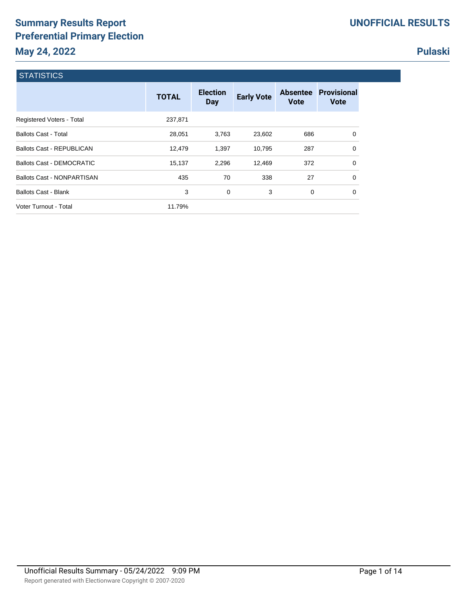# **Summary Results Report Preferential Primary Election May 24, 2022**

# **Pulaski**

|  | <b>STATISTICS</b> |  |
|--|-------------------|--|
|  |                   |  |
|  |                   |  |

|                                  | <b>TOTAL</b> | <b>Election</b><br>Day | <b>Early Vote</b> | <b>Absentee</b><br><b>Vote</b> | <b>Provisional</b><br><b>Vote</b> |
|----------------------------------|--------------|------------------------|-------------------|--------------------------------|-----------------------------------|
| Registered Voters - Total        | 237,871      |                        |                   |                                |                                   |
| <b>Ballots Cast - Total</b>      | 28,051       | 3,763                  | 23,602            | 686                            | 0                                 |
| <b>Ballots Cast - REPUBLICAN</b> | 12,479       | 1,397                  | 10,795            | 287                            | $\Omega$                          |
| Ballots Cast - DEMOCRATIC        | 15,137       | 2,296                  | 12,469            | 372                            | $\Omega$                          |
| Ballots Cast - NONPARTISAN       | 435          | 70                     | 338               | 27                             | $\Omega$                          |
| <b>Ballots Cast - Blank</b>      | 3            | 0                      | 3                 | 0                              | 0                                 |
| Voter Turnout - Total            | 11.79%       |                        |                   |                                |                                   |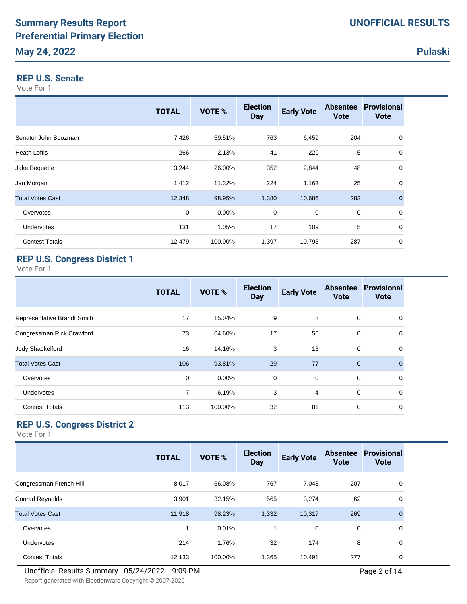#### **REP U.S. Senate**

Vote For 1

|                         | <b>TOTAL</b> | VOTE %   | <b>Election</b><br><b>Day</b> | <b>Early Vote</b> | <b>Absentee</b><br><b>Vote</b> | <b>Provisional</b><br><b>Vote</b> |
|-------------------------|--------------|----------|-------------------------------|-------------------|--------------------------------|-----------------------------------|
| Senator John Boozman    | 7,426        | 59.51%   | 763                           | 6,459             | 204                            | 0                                 |
| <b>Heath Loftis</b>     | 266          | 2.13%    | 41                            | 220               | 5                              | 0                                 |
| Jake Bequette           | 3,244        | 26.00%   | 352                           | 2,844             | 48                             | 0                                 |
| Jan Morgan              | 1,412        | 11.32%   | 224                           | 1,163             | 25                             | 0                                 |
| <b>Total Votes Cast</b> | 12,348       | 98.95%   | 1,380                         | 10,686            | 282                            | $\overline{0}$                    |
| Overvotes               | 0            | $0.00\%$ | $\mathbf 0$                   | 0                 | $\mathbf 0$                    | 0                                 |
| Undervotes              | 131          | 1.05%    | 17                            | 109               | 5                              | 0                                 |
| <b>Contest Totals</b>   | 12,479       | 100.00%  | 1,397                         | 10,795            | 287                            | 0                                 |

## **REP U.S. Congress District 1**

Vote For 1

|                             | <b>TOTAL</b>   | VOTE %   | <b>Election</b><br><b>Day</b> | <b>Early Vote</b> | <b>Absentee</b><br><b>Vote</b> | <b>Provisional</b><br><b>Vote</b> |
|-----------------------------|----------------|----------|-------------------------------|-------------------|--------------------------------|-----------------------------------|
| Representative Brandt Smith | 17             | 15.04%   | 9                             | 8                 | 0                              | $\Omega$                          |
| Congressman Rick Crawford   | 73             | 64.60%   | 17                            | 56                | 0                              | $\Omega$                          |
| Jody Shackelford            | 16             | 14.16%   | 3                             | 13                | $\mathbf 0$                    | 0                                 |
| <b>Total Votes Cast</b>     | 106            | 93.81%   | 29                            | 77                | $\Omega$                       | $\Omega$                          |
| Overvotes                   | 0              | $0.00\%$ | 0                             | $\mathbf 0$       | $\mathbf 0$                    | 0                                 |
| Undervotes                  | $\overline{7}$ | 6.19%    | 3                             | 4                 | $\Omega$                       | $\Omega$                          |
| <b>Contest Totals</b>       | 113            | 100.00%  | 32                            | 81                | 0                              | $\Omega$                          |

# **REP U.S. Congress District 2**

|                         | <b>TOTAL</b> | VOTE %  | <b>Election</b><br><b>Day</b> | <b>Early Vote</b> | <b>Absentee</b><br><b>Vote</b> | <b>Provisional</b><br><b>Vote</b> |
|-------------------------|--------------|---------|-------------------------------|-------------------|--------------------------------|-----------------------------------|
| Congressman French Hill | 8,017        | 66.08%  | 767                           | 7,043             | 207                            | 0                                 |
| Conrad Reynolds         | 3,901        | 32.15%  | 565                           | 3,274             | 62                             | 0                                 |
| <b>Total Votes Cast</b> | 11,918       | 98.23%  | 1,332                         | 10,317            | 269                            | $\mathbf{0}$                      |
| Overvotes               | 1            | 0.01%   | $\mathbf{1}$                  | $\mathbf 0$       | 0                              | $\Omega$                          |
| <b>Undervotes</b>       | 214          | 1.76%   | 32                            | 174               | 8                              | $\Omega$                          |
| <b>Contest Totals</b>   | 12,133       | 100.00% | 1,365                         | 10,491            | 277                            | $\mathbf 0$                       |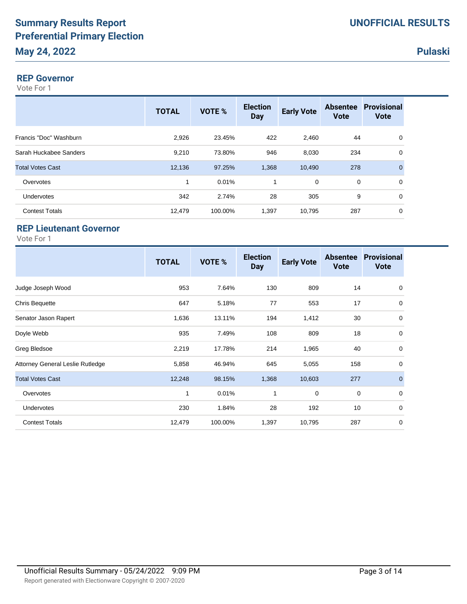#### **REP Governor**

Vote For 1

|                         | <b>TOTAL</b> | VOTE %  | <b>Election</b><br><b>Day</b> | <b>Early Vote</b> | <b>Vote</b> | <b>Absentee Provisional</b><br><b>Vote</b> |
|-------------------------|--------------|---------|-------------------------------|-------------------|-------------|--------------------------------------------|
| Francis "Doc" Washburn  | 2,926        | 23.45%  | 422                           | 2,460             | 44          | 0                                          |
| Sarah Huckabee Sanders  | 9,210        | 73.80%  | 946                           | 8,030             | 234         | 0                                          |
| <b>Total Votes Cast</b> | 12,136       | 97.25%  | 1,368                         | 10,490            | 278         | $\mathbf{0}$                               |
| Overvotes               | 1            | 0.01%   |                               | 0                 | 0           | 0                                          |
| <b>Undervotes</b>       | 342          | 2.74%   | 28                            | 305               | 9           | 0                                          |
| <b>Contest Totals</b>   | 12,479       | 100.00% | 1,397                         | 10,795            | 287         | 0                                          |
|                         |              |         |                               |                   |             |                                            |

## **REP Lieutenant Governor**

|                                  | <b>TOTAL</b> | VOTE %  | <b>Election</b><br><b>Day</b> | <b>Early Vote</b> | <b>Absentee</b><br><b>Vote</b> | <b>Provisional</b><br><b>Vote</b> |
|----------------------------------|--------------|---------|-------------------------------|-------------------|--------------------------------|-----------------------------------|
| Judge Joseph Wood                | 953          | 7.64%   | 130                           | 809               | 14                             | $\mathbf 0$                       |
| <b>Chris Bequette</b>            | 647          | 5.18%   | 77                            | 553               | 17                             | 0                                 |
| Senator Jason Rapert             | 1,636        | 13.11%  | 194                           | 1,412             | 30                             | 0                                 |
| Doyle Webb                       | 935          | 7.49%   | 108                           | 809               | 18                             | 0                                 |
| Greg Bledsoe                     | 2,219        | 17.78%  | 214                           | 1,965             | 40                             | 0                                 |
| Attorney General Leslie Rutledge | 5,858        | 46.94%  | 645                           | 5,055             | 158                            | 0                                 |
| <b>Total Votes Cast</b>          | 12,248       | 98.15%  | 1,368                         | 10,603            | 277                            | $\mathbf 0$                       |
| Overvotes                        | 1            | 0.01%   | 1                             | 0                 | 0                              | $\mathbf 0$                       |
| <b>Undervotes</b>                | 230          | 1.84%   | 28                            | 192               | 10                             | 0                                 |
| <b>Contest Totals</b>            | 12,479       | 100.00% | 1,397                         | 10,795            | 287                            | 0                                 |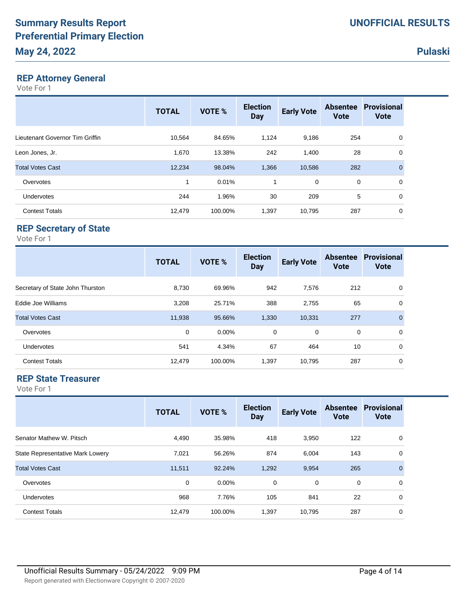#### **REP Attorney General**

Vote For 1

| <b>TOTAL</b> | VOTE %  | <b>Election</b><br><b>Day</b> | <b>Early Vote</b> | <b>Absentee</b><br><b>Vote</b> | <b>Provisional</b><br><b>Vote</b> |
|--------------|---------|-------------------------------|-------------------|--------------------------------|-----------------------------------|
| 10.564       | 84.65%  | 1,124                         | 9,186             | 254                            | 0                                 |
| 1,670        | 13.38%  | 242                           | 1,400             | 28                             | $\mathbf 0$                       |
| 12,234       | 98.04%  | 1,366                         | 10,586            | 282                            | $\mathbf{0}$                      |
| 1            | 0.01%   | 1                             | 0                 |                                | 0                                 |
| 244          | 1.96%   | 30                            | 209               |                                | $\Omega$                          |
| 12,479       | 100.00% | 1,397                         | 10,795            | 287                            | 0                                 |
|              |         |                               |                   |                                | 0<br>5                            |

# **REP Secretary of State**

Vote For 1

|                                  | <b>TOTAL</b> | VOTE %  | <b>Election</b><br><b>Day</b> | <b>Early Vote</b> | <b>Vote</b> | <b>Absentee Provisional</b><br><b>Vote</b> |
|----------------------------------|--------------|---------|-------------------------------|-------------------|-------------|--------------------------------------------|
| Secretary of State John Thurston | 8,730        | 69.96%  | 942                           | 7,576             | 212         | 0                                          |
| Eddie Joe Williams               | 3,208        | 25.71%  | 388                           | 2,755             | 65          | 0                                          |
| <b>Total Votes Cast</b>          | 11,938       | 95.66%  | 1,330                         | 10,331            | 277         | $\mathbf{0}$                               |
| Overvotes                        | 0            | 0.00%   | $\mathbf 0$                   | $\mathbf 0$       | 0           | $\Omega$                                   |
| <b>Undervotes</b>                | 541          | 4.34%   | 67                            | 464               | 10          | 0                                          |
| <b>Contest Totals</b>            | 12,479       | 100.00% | 1,397                         | 10,795            | 287         | 0                                          |

# **REP State Treasurer**

|                                  | <b>TOTAL</b> | <b>VOTE %</b> | <b>Election</b><br><b>Day</b> | <b>Early Vote</b> | <b>Absentee</b><br><b>Vote</b> | <b>Provisional</b><br><b>Vote</b> |
|----------------------------------|--------------|---------------|-------------------------------|-------------------|--------------------------------|-----------------------------------|
| Senator Mathew W. Pitsch         | 4,490        | 35.98%        | 418                           | 3,950             | 122                            | 0                                 |
| State Representative Mark Lowery | 7,021        | 56.26%        | 874                           | 6,004             | 143                            | 0                                 |
| <b>Total Votes Cast</b>          | 11,511       | 92.24%        | 1,292                         | 9,954             | 265                            | $\mathbf{0}$                      |
| Overvotes                        | $\mathbf 0$  | $0.00\%$      | 0                             | $\mathbf 0$       | $\mathbf 0$                    | $\Omega$                          |
| <b>Undervotes</b>                | 968          | 7.76%         | 105                           | 841               | 22                             | 0                                 |
| <b>Contest Totals</b>            | 12,479       | 100.00%       | 1,397                         | 10,795            | 287                            | 0                                 |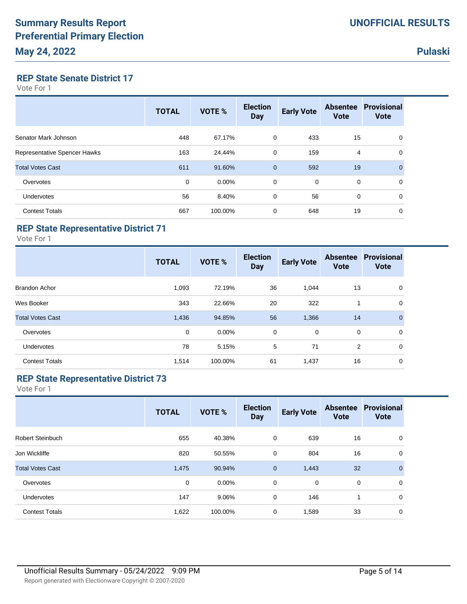### **REP State Senate District 17**

Vote For 1

|                              | <b>TOTAL</b> | <b>VOTE %</b> | <b>Election</b><br><b>Day</b> | <b>Early Vote</b> | <b>Absentee</b><br><b>Vote</b> | <b>Provisional</b><br><b>Vote</b> |
|------------------------------|--------------|---------------|-------------------------------|-------------------|--------------------------------|-----------------------------------|
| Senator Mark Johnson         | 448          | 67.17%        | 0                             | 433               | 15                             | 0                                 |
| Representative Spencer Hawks | 163          | 24.44%        | $\mathbf 0$                   | 159               | 4                              | 0                                 |
| <b>Total Votes Cast</b>      | 611          | 91.60%        | $\mathbf{0}$                  | 592               | 19                             | $\mathbf 0$                       |
| Overvotes                    | 0            | $0.00\%$      | $\mathbf 0$                   | 0                 | $\mathbf 0$                    | $\mathbf 0$                       |
| Undervotes                   | 56           | 8.40%         | 0                             | 56                | 0                              | $\mathbf 0$                       |
| <b>Contest Totals</b>        | 667          | 100.00%       | 0                             | 648               | 19                             | 0                                 |

# **REP State Representative District 71**

Vote For 1

|                         | <b>TOTAL</b> | VOTE %   | <b>Election</b><br><b>Day</b> | <b>Early Vote</b> | <b>Absentee</b><br><b>Vote</b> | <b>Provisional</b><br><b>Vote</b> |
|-------------------------|--------------|----------|-------------------------------|-------------------|--------------------------------|-----------------------------------|
| <b>Brandon Achor</b>    | 1,093        | 72.19%   | 36                            | 1,044             | 13                             | 0                                 |
| Wes Booker              | 343          | 22.66%   | 20                            | 322               | 1                              | $\mathbf 0$                       |
| <b>Total Votes Cast</b> | 1,436        | 94.85%   | 56                            | 1,366             | 14                             | $\mathbf{0}$                      |
| Overvotes               | 0            | $0.00\%$ | $\mathbf 0$                   | $\mathbf 0$       | 0                              | $\mathbf 0$                       |
| <b>Undervotes</b>       | 78           | 5.15%    | 5                             | 71                | $\overline{2}$                 | $\mathbf 0$                       |
| <b>Contest Totals</b>   | 1,514        | 100.00%  | 61                            | 1,437             | 16                             | 0                                 |

## **REP State Representative District 73**

|                         | <b>TOTAL</b> | <b>VOTE %</b> | <b>Election</b><br><b>Day</b> | <b>Early Vote</b> | <b>Vote</b> | <b>Absentee Provisional</b><br><b>Vote</b> |
|-------------------------|--------------|---------------|-------------------------------|-------------------|-------------|--------------------------------------------|
| <b>Robert Steinbuch</b> | 655          | 40.38%        | $\mathbf 0$                   | 639               | 16          | 0                                          |
| Jon Wickliffe           | 820          | 50.55%        | 0                             | 804               | 16          | 0                                          |
| <b>Total Votes Cast</b> | 1,475        | 90.94%        | $\mathbf{0}$                  | 1,443             | 32          | $\mathbf{0}$                               |
| Overvotes               | 0            | 0.00%         | 0                             | 0                 | $\mathbf 0$ | 0                                          |
| <b>Undervotes</b>       | 147          | 9.06%         | 0                             | 146               | 1           | 0                                          |
| <b>Contest Totals</b>   | 1,622        | 100.00%       | 0                             | 1,589             | 33          | 0                                          |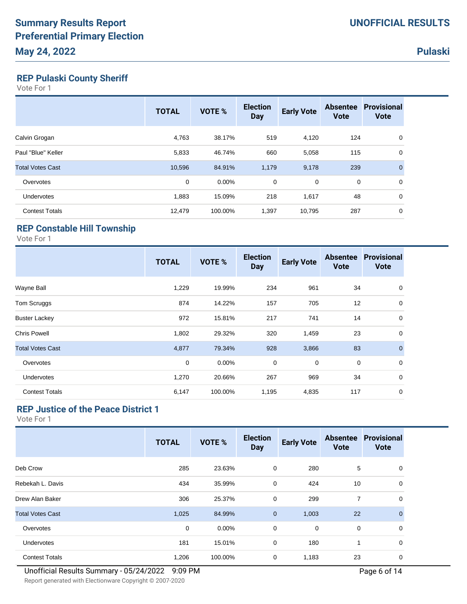# **REP Pulaski County Sheriff**

Vote For 1

|                         | <b>TOTAL</b> | <b>VOTE %</b> | <b>Election</b><br><b>Day</b> | <b>Early Vote</b> | <b>Absentee</b><br><b>Vote</b> | Provisional<br><b>Vote</b> |
|-------------------------|--------------|---------------|-------------------------------|-------------------|--------------------------------|----------------------------|
| Calvin Grogan           | 4,763        | 38.17%        | 519                           | 4,120             | 124                            | 0                          |
| Paul "Blue" Keller      | 5,833        | 46.74%        | 660                           | 5,058             | 115                            | 0                          |
| <b>Total Votes Cast</b> | 10,596       | 84.91%        | 1,179                         | 9,178             | 239                            | $\mathbf{0}$               |
| Overvotes               | $\mathbf 0$  | $0.00\%$      | $\mathbf 0$                   | 0                 | 0                              | 0                          |
| <b>Undervotes</b>       | 1,883        | 15.09%        | 218                           | 1,617             | 48                             | 0                          |
| <b>Contest Totals</b>   | 12,479       | 100.00%       | 1,397                         | 10,795            | 287                            | 0                          |

# **REP Constable Hill Township**

Vote For 1

|                         | <b>TOTAL</b> | VOTE %  | <b>Election</b><br><b>Day</b> | <b>Early Vote</b> | <b>Absentee</b><br><b>Vote</b> | <b>Provisional</b><br><b>Vote</b> |
|-------------------------|--------------|---------|-------------------------------|-------------------|--------------------------------|-----------------------------------|
| Wayne Ball              | 1,229        | 19.99%  | 234                           | 961               | 34                             | 0                                 |
| <b>Tom Scruggs</b>      | 874          | 14.22%  | 157                           | 705               | 12                             | 0                                 |
| <b>Buster Lackey</b>    | 972          | 15.81%  | 217                           | 741               | 14                             | 0                                 |
| <b>Chris Powell</b>     | 1,802        | 29.32%  | 320                           | 1,459             | 23                             | $\mathbf 0$                       |
| <b>Total Votes Cast</b> | 4,877        | 79.34%  | 928                           | 3,866             | 83                             | $\mathbf 0$                       |
| Overvotes               | 0            | 0.00%   | 0                             | 0                 | 0                              | 0                                 |
| <b>Undervotes</b>       | 1,270        | 20.66%  | 267                           | 969               | 34                             | 0                                 |
| <b>Contest Totals</b>   | 6,147        | 100.00% | 1,195                         | 4,835             | 117                            | 0                                 |

# **REP Justice of the Peace District 1**

|                         | <b>TOTAL</b> | <b>VOTE %</b> | <b>Election</b><br><b>Day</b> | <b>Early Vote</b> | <b>Absentee</b><br><b>Vote</b> | <b>Provisional</b><br><b>Vote</b> |
|-------------------------|--------------|---------------|-------------------------------|-------------------|--------------------------------|-----------------------------------|
| Deb Crow                | 285          | 23.63%        | 0                             | 280               | 5                              | 0                                 |
| Rebekah L. Davis        | 434          | 35.99%        | 0                             | 424               | 10                             | $\Omega$                          |
| Drew Alan Baker         | 306          | 25.37%        | 0                             | 299               | $\overline{7}$                 | 0                                 |
| <b>Total Votes Cast</b> | 1,025        | 84.99%        | $\overline{0}$                | 1,003             | 22                             | $\mathbf{0}$                      |
| Overvotes               | $\mathbf 0$  | $0.00\%$      | 0                             | $\mathbf 0$       | $\mathbf 0$                    | 0                                 |
| Undervotes              | 181          | 15.01%        | 0                             | 180               |                                | 0                                 |
| <b>Contest Totals</b>   | 1,206        | 100.00%       | 0                             | 1,183             | 23                             | 0                                 |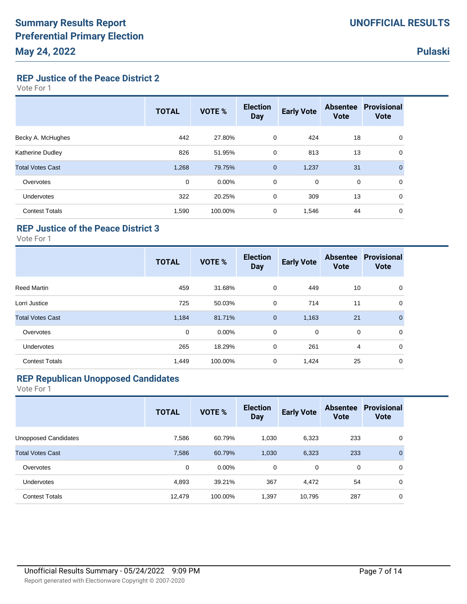**REP Justice of the Peace District 2**

Vote For 1

|                         | <b>TOTAL</b> | <b>VOTE %</b> | <b>Election</b><br><b>Day</b> | <b>Early Vote</b> | <b>Absentee</b><br><b>Vote</b> | <b>Provisional</b><br><b>Vote</b> |
|-------------------------|--------------|---------------|-------------------------------|-------------------|--------------------------------|-----------------------------------|
| Becky A. McHughes       | 442          | 27.80%        | 0                             | 424               | 18                             | 0                                 |
| Katherine Dudley        | 826          | 51.95%        | 0                             | 813               | 13                             | 0                                 |
| <b>Total Votes Cast</b> | 1,268        | 79.75%        | $\mathbf 0$                   | 1,237             | 31                             | $\mathbf 0$                       |
| Overvotes               | 0            | $0.00\%$      | $\mathbf 0$                   | $\mathbf 0$       | $\mathbf 0$                    | 0                                 |
| Undervotes              | 322          | 20.25%        | $\mathbf 0$                   | 309               | 13                             | 0                                 |
| <b>Contest Totals</b>   | 1,590        | 100.00%       | 0                             | 1,546             | 44                             | 0                                 |

## **REP Justice of the Peace District 3**

Vote For 1

|                         | <b>TOTAL</b> | VOTE %   | <b>Election</b><br><b>Day</b> | <b>Early Vote</b> | <b>Absentee</b><br><b>Vote</b> | <b>Provisional</b><br><b>Vote</b> |
|-------------------------|--------------|----------|-------------------------------|-------------------|--------------------------------|-----------------------------------|
| Reed Martin             | 459          | 31.68%   | 0                             | 449               | 10                             | 0                                 |
| Lorri Justice           | 725          | 50.03%   | 0                             | 714               | 11                             | 0                                 |
| <b>Total Votes Cast</b> | 1,184        | 81.71%   | $\mathbf 0$                   | 1,163             | 21                             | $\mathbf{0}$                      |
| Overvotes               | 0            | $0.00\%$ | 0                             | 0                 | 0                              | 0                                 |
| <b>Undervotes</b>       | 265          | 18.29%   | 0                             | 261               | 4                              | 0                                 |
| <b>Contest Totals</b>   | 1,449        | 100.00%  | $\mathbf 0$                   | 1,424             | 25                             | 0                                 |

### **REP Republican Unopposed Candidates**

|                             | <b>TOTAL</b> | <b>VOTE %</b> | <b>Election</b><br><b>Day</b> | <b>Early Vote</b> | <b>Vote</b> | <b>Absentee Provisional</b><br><b>Vote</b> |
|-----------------------------|--------------|---------------|-------------------------------|-------------------|-------------|--------------------------------------------|
| <b>Unopposed Candidates</b> | 7,586        | 60.79%        | 1.030                         | 6,323             | 233         | 0                                          |
| <b>Total Votes Cast</b>     | 7,586        | 60.79%        | 1,030                         | 6,323             | 233         | $\mathbf{0}$                               |
| Overvotes                   | 0            | $0.00\%$      | 0                             | $\mathbf 0$       | 0           | 0                                          |
| Undervotes                  | 4,893        | 39.21%        | 367                           | 4,472             | 54          | $\mathbf 0$                                |
| <b>Contest Totals</b>       | 12,479       | 100.00%       | 1,397                         | 10,795            | 287         | 0                                          |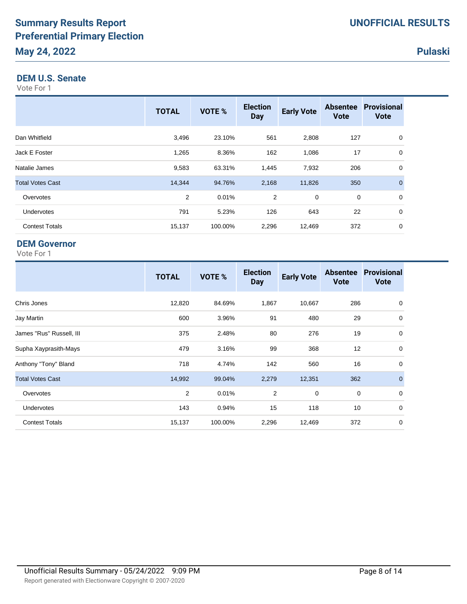#### **DEM U.S. Senate**

Vote For 1

|                         | <b>TOTAL</b> | VOTE %  | <b>Election</b><br><b>Day</b> | <b>Early Vote</b> | <b>Absentee</b><br><b>Vote</b> | <b>Provisional</b><br><b>Vote</b> |
|-------------------------|--------------|---------|-------------------------------|-------------------|--------------------------------|-----------------------------------|
| Dan Whitfield           | 3,496        | 23.10%  | 561                           | 2,808             | 127                            | 0                                 |
| Jack E Foster           | 1,265        | 8.36%   | 162                           | 1,086             | 17                             | $\mathbf 0$                       |
| Natalie James           | 9,583        | 63.31%  | 1,445                         | 7,932             | 206                            | 0                                 |
| <b>Total Votes Cast</b> | 14,344       | 94.76%  | 2,168                         | 11,826            | 350                            | $\Omega$                          |
| Overvotes               | 2            | 0.01%   | $\overline{2}$                | 0                 | 0                              | 0                                 |
| <b>Undervotes</b>       | 791          | 5.23%   | 126                           | 643               | 22                             | $\mathbf 0$                       |
| <b>Contest Totals</b>   | 15,137       | 100.00% | 2,296                         | 12,469            | 372                            | 0                                 |

### **DEM Governor**

|                          | <b>TOTAL</b> | VOTE %  | <b>Election</b><br><b>Day</b> | <b>Early Vote</b> | <b>Absentee</b><br><b>Vote</b> | <b>Provisional</b><br><b>Vote</b> |
|--------------------------|--------------|---------|-------------------------------|-------------------|--------------------------------|-----------------------------------|
| Chris Jones              | 12,820       | 84.69%  | 1,867                         | 10,667            | 286                            | 0                                 |
| Jay Martin               | 600          | 3.96%   | 91                            | 480               | 29                             | 0                                 |
| James "Rus" Russell, III | 375          | 2.48%   | 80                            | 276               | 19                             | 0                                 |
| Supha Xayprasith-Mays    | 479          | 3.16%   | 99                            | 368               | 12                             | 0                                 |
| Anthony "Tony" Bland     | 718          | 4.74%   | 142                           | 560               | 16                             | 0                                 |
| <b>Total Votes Cast</b>  | 14,992       | 99.04%  | 2,279                         | 12,351            | 362                            | $\mathbf{0}$                      |
| Overvotes                | 2            | 0.01%   | $\overline{2}$                | $\mathbf 0$       | 0                              | $\mathbf 0$                       |
| <b>Undervotes</b>        | 143          | 0.94%   | 15                            | 118               | 10                             | 0                                 |
| <b>Contest Totals</b>    | 15,137       | 100.00% | 2,296                         | 12,469            | 372                            | 0                                 |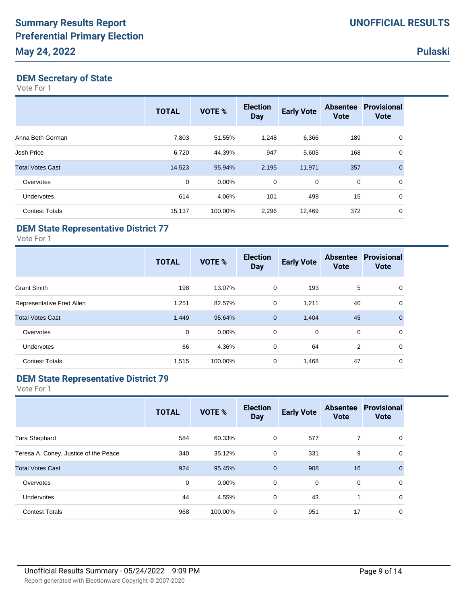## **DEM Secretary of State**

Vote For 1

|                         | <b>TOTAL</b> | <b>VOTE %</b> | <b>Election</b><br><b>Day</b> | <b>Early Vote</b> | <b>Absentee</b><br><b>Vote</b> | <b>Provisional</b><br><b>Vote</b> |
|-------------------------|--------------|---------------|-------------------------------|-------------------|--------------------------------|-----------------------------------|
| Anna Beth Gorman        | 7,803        | 51.55%        | 1,248                         | 6,366             | 189                            | 0                                 |
| Josh Price              | 6,720        | 44.39%        | 947                           | 5,605             | 168                            | 0                                 |
| <b>Total Votes Cast</b> | 14,523       | 95.94%        | 2,195                         | 11,971            | 357                            | $\overline{0}$                    |
| Overvotes               | 0            | $0.00\%$      | 0                             | 0                 | $\mathbf 0$                    | 0                                 |
| <b>Undervotes</b>       | 614          | 4.06%         | 101                           | 498               | 15                             | 0                                 |
| <b>Contest Totals</b>   | 15,137       | 100.00%       | 2,296                         | 12,469            | 372                            | $\mathbf 0$                       |

## **DEM State Representative District 77**

Vote For 1

|                           | <b>TOTAL</b> | VOTE %   | <b>Election</b><br><b>Day</b> | <b>Early Vote</b> | <b>Absentee</b><br><b>Vote</b> | <b>Provisional</b><br><b>Vote</b> |
|---------------------------|--------------|----------|-------------------------------|-------------------|--------------------------------|-----------------------------------|
| <b>Grant Smith</b>        | 198          | 13.07%   | 0                             | 193               | 5                              | 0                                 |
| Representative Fred Allen | 1,251        | 82.57%   | 0                             | 1,211             | 40                             | 0                                 |
| <b>Total Votes Cast</b>   | 1,449        | 95.64%   | $\mathbf{0}$                  | 1,404             | 45                             | $\mathbf{0}$                      |
| Overvotes                 | 0            | $0.00\%$ | $\mathbf 0$                   | 0                 | 0                              | 0                                 |
| <b>Undervotes</b>         | 66           | 4.36%    | 0                             | 64                | 2                              | $\mathbf 0$                       |
| <b>Contest Totals</b>     | 1,515        | 100.00%  | 0                             | 1,468             | 47                             | 0                                 |

### **DEM State Representative District 79**

|                                       | <b>TOTAL</b> | <b>VOTE %</b> | <b>Election</b><br><b>Day</b> | <b>Early Vote</b> | <b>Vote</b> | <b>Absentee Provisional</b><br><b>Vote</b> |
|---------------------------------------|--------------|---------------|-------------------------------|-------------------|-------------|--------------------------------------------|
| Tara Shephard                         | 584          | 60.33%        | 0                             | 577               | 7           | 0                                          |
| Teresa A. Coney, Justice of the Peace | 340          | 35.12%        | 0                             | 331               | 9           | 0                                          |
| <b>Total Votes Cast</b>               | 924          | 95.45%        | $\mathbf{0}$                  | 908               | 16          | $\Omega$                                   |
| Overvotes                             | 0            | $0.00\%$      | $\mathbf 0$                   | 0                 | 0           | $\Omega$                                   |
| <b>Undervotes</b>                     | 44           | 4.55%         | 0                             | 43                | 1           | 0                                          |
| <b>Contest Totals</b>                 | 968          | 100.00%       | 0                             | 951               | 17          | 0                                          |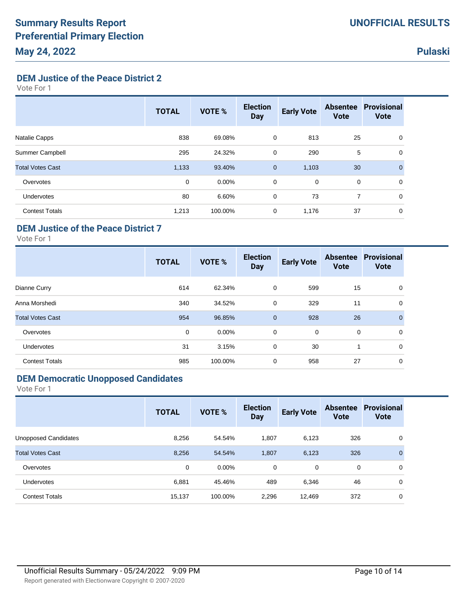**DEM Justice of the Peace District 2**

Vote For 1

|                         | <b>TOTAL</b> | VOTE %   | <b>Election</b><br><b>Day</b> | <b>Early Vote</b> | <b>Absentee</b><br><b>Vote</b> | <b>Provisional</b><br><b>Vote</b> |
|-------------------------|--------------|----------|-------------------------------|-------------------|--------------------------------|-----------------------------------|
| Natalie Capps           | 838          | 69.08%   | 0                             | 813               | 25                             | 0                                 |
| Summer Campbell         | 295          | 24.32%   | 0                             | 290               | 5                              | 0                                 |
| <b>Total Votes Cast</b> | 1,133        | 93.40%   | $\mathbf{0}$                  | 1,103             | 30                             | $\mathbf 0$                       |
| Overvotes               | 0            | $0.00\%$ | 0                             | $\mathbf 0$       | 0                              | 0                                 |
| Undervotes              | 80           | 6.60%    | 0                             | 73                | 7                              | 0                                 |
| <b>Contest Totals</b>   | 1,213        | 100.00%  | 0                             | 1,176             | 37                             | 0                                 |

## **DEM Justice of the Peace District 7**

Vote For 1

|                         | <b>TOTAL</b> | <b>VOTE %</b> | <b>Election</b><br><b>Day</b> | <b>Early Vote</b> | <b>Absentee</b><br><b>Vote</b> | <b>Provisional</b><br><b>Vote</b> |
|-------------------------|--------------|---------------|-------------------------------|-------------------|--------------------------------|-----------------------------------|
| Dianne Curry            | 614          | 62.34%        | 0                             | 599               | 15                             | 0                                 |
| Anna Morshedi           | 340          | 34.52%        | 0                             | 329               | 11                             | 0                                 |
| <b>Total Votes Cast</b> | 954          | 96.85%        | $\mathbf{0}$                  | 928               | 26                             | $\mathbf{0}$                      |
| Overvotes               | 0            | $0.00\%$      | $\mathbf 0$                   | $\mathbf 0$       | $\mathbf 0$                    | 0                                 |
| <b>Undervotes</b>       | 31           | 3.15%         | 0                             | 30                | 1                              | 0                                 |
| <b>Contest Totals</b>   | 985          | 100.00%       | $\mathbf 0$                   | 958               | 27                             | 0                                 |

#### **DEM Democratic Unopposed Candidates**

|                         | <b>TOTAL</b> | VOTE %   | <b>Election</b><br><b>Day</b> | <b>Early Vote</b> | <b>Absentee</b><br><b>Vote</b> | <b>Provisional</b><br><b>Vote</b> |
|-------------------------|--------------|----------|-------------------------------|-------------------|--------------------------------|-----------------------------------|
| Unopposed Candidates    | 8,256        | 54.54%   | 1,807                         | 6,123             | 326                            | 0                                 |
| <b>Total Votes Cast</b> | 8,256        | 54.54%   | 1,807                         | 6,123             | 326                            | $\mathbf{0}$                      |
| Overvotes               | $\mathbf 0$  | $0.00\%$ | 0                             | 0                 | 0                              | 0                                 |
| Undervotes              | 6,881        | 45.46%   | 489                           | 6,346             | 46                             | 0                                 |
| <b>Contest Totals</b>   | 15,137       | 100.00%  | 2,296                         | 12,469            | 372                            | 0                                 |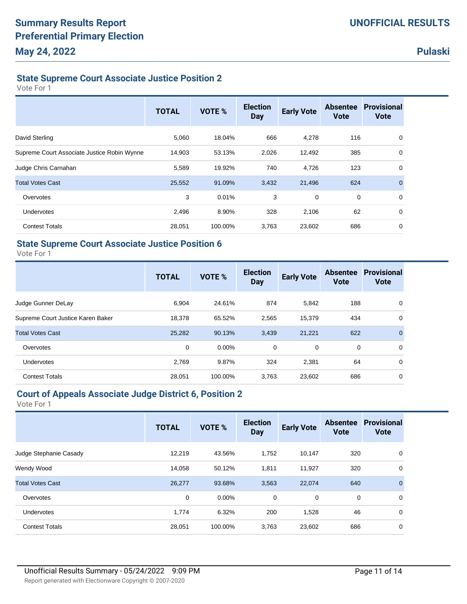# **State Supreme Court Associate Justice Position 2**

Vote For 1

|                                             | <b>TOTAL</b> | VOTE %  | <b>Election</b><br><b>Day</b> | <b>Early Vote</b> | <b>Absentee</b><br><b>Vote</b> | <b>Provisional</b><br><b>Vote</b> |
|---------------------------------------------|--------------|---------|-------------------------------|-------------------|--------------------------------|-----------------------------------|
| David Sterling                              | 5,060        | 18.04%  | 666                           | 4,278             | 116                            | 0                                 |
| Supreme Court Associate Justice Robin Wynne | 14,903       | 53.13%  | 2,026                         | 12,492            | 385                            | 0                                 |
| Judge Chris Carnahan                        | 5,589        | 19.92%  | 740                           | 4,726             | 123                            | 0                                 |
| <b>Total Votes Cast</b>                     | 25,552       | 91.09%  | 3,432                         | 21,496            | 624                            | $\mathbf{0}$                      |
| Overvotes                                   | 3            | 0.01%   | 3                             | 0                 | $\mathbf 0$                    | 0                                 |
| <b>Undervotes</b>                           | 2,496        | 8.90%   | 328                           | 2,106             | 62                             | 0                                 |
| <b>Contest Totals</b>                       | 28,051       | 100.00% | 3,763                         | 23,602            | 686                            | 0                                 |

### **State Supreme Court Associate Justice Position 6**

Vote For 1

|                                   | <b>TOTAL</b> | VOTE %   | <b>Election</b><br><b>Day</b> | <b>Early Vote</b> | <b>Absentee</b><br><b>Vote</b> | <b>Provisional</b><br><b>Vote</b> |
|-----------------------------------|--------------|----------|-------------------------------|-------------------|--------------------------------|-----------------------------------|
| Judge Gunner DeLay                | 6.904        | 24.61%   | 874                           | 5,842             | 188                            | 0                                 |
| Supreme Court Justice Karen Baker | 18,378       | 65.52%   | 2,565                         | 15,379            | 434                            | 0                                 |
| <b>Total Votes Cast</b>           | 25,282       | 90.13%   | 3,439                         | 21,221            | 622                            | $\mathbf{0}$                      |
| Overvotes                         | 0            | $0.00\%$ | 0                             | 0                 | 0                              | 0                                 |
| Undervotes                        | 2.769        | 9.87%    | 324                           | 2,381             | 64                             | 0                                 |
| <b>Contest Totals</b>             | 28,051       | 100.00%  | 3,763                         | 23,602            | 686                            | 0                                 |

#### **Court of Appeals Associate Judge District 6, Position 2**

| <b>TOTAL</b> | <b>VOTE %</b> | <b>Election</b><br><b>Day</b> | <b>Early Vote</b> | <b>Absentee</b><br><b>Vote</b> | <b>Provisional</b><br><b>Vote</b> |
|--------------|---------------|-------------------------------|-------------------|--------------------------------|-----------------------------------|
| 12,219       | 43.56%        | 1,752                         | 10,147            | 320                            | 0                                 |
| 14,058       | 50.12%        | 1,811                         | 11,927            | 320                            | 0                                 |
| 26,277       | 93.68%        | 3,563                         | 22,074            | 640                            | $\mathbf{0}$                      |
| 0            | $0.00\%$      | 0                             | 0                 | 0                              | 0                                 |
| 1,774        | 6.32%         | 200                           | 1,528             | 46                             | $\mathbf 0$                       |
| 28,051       | 100.00%       | 3,763                         | 23,602            | 686                            | $\mathbf 0$                       |
|              |               |                               |                   |                                |                                   |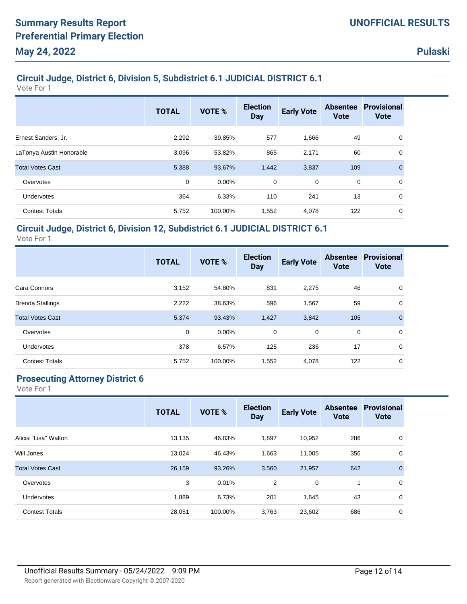# **Circuit Judge, District 6, Division 5, Subdistrict 6.1 JUDICIAL DISTRICT 6.1**

Vote For 1

|                          | <b>TOTAL</b> | <b>VOTE %</b> | <b>Election</b><br><b>Day</b> | <b>Early Vote</b> | <b>Absentee</b><br><b>Vote</b> | <b>Provisional</b><br><b>Vote</b> |
|--------------------------|--------------|---------------|-------------------------------|-------------------|--------------------------------|-----------------------------------|
| Ernest Sanders, Jr.      | 2,292        | 39.85%        | 577                           | 1,666             | 49                             | 0                                 |
| LaTonya Austin Honorable | 3,096        | 53.82%        | 865                           | 2,171             | 60                             | 0                                 |
| <b>Total Votes Cast</b>  | 5,388        | 93.67%        | 1,442                         | 3,837             | 109                            | $\mathbf 0$                       |
| Overvotes                | 0            | $0.00\%$      | 0                             | 0                 | $\mathbf 0$                    | 0                                 |
| Undervotes               | 364          | 6.33%         | 110                           | 241               | 13                             | 0                                 |
| <b>Contest Totals</b>    | 5,752        | 100.00%       | 1,552                         | 4,078             | 122                            | 0                                 |

#### **Circuit Judge, District 6, Division 12, Subdistrict 6.1 JUDICIAL DISTRICT 6.1**

Vote For 1

|                         | <b>TOTAL</b> | <b>VOTE %</b> | <b>Election</b><br><b>Day</b> | <b>Early Vote</b> | <b>Absentee</b><br><b>Vote</b> | <b>Provisional</b><br><b>Vote</b> |
|-------------------------|--------------|---------------|-------------------------------|-------------------|--------------------------------|-----------------------------------|
| Cara Connors            | 3,152        | 54.80%        | 831                           | 2,275             | 46                             | 0                                 |
| <b>Brenda Stallings</b> | 2,222        | 38.63%        | 596                           | 1,567             | 59                             | 0                                 |
| <b>Total Votes Cast</b> | 5,374        | 93.43%        | 1,427                         | 3,842             | 105                            | $\mathbf{0}$                      |
| Overvotes               | $\mathbf 0$  | $0.00\%$      | $\mathbf 0$                   | $\mathbf 0$       | $\mathbf 0$                    | 0                                 |
| Undervotes              | 378          | 6.57%         | 125                           | 236               | 17                             | $\mathbf 0$                       |
| <b>Contest Totals</b>   | 5,752        | 100.00%       | 1,552                         | 4,078             | 122                            | 0                                 |

# **Prosecuting Attorney District 6**

|                         | <b>TOTAL</b> | <b>VOTE %</b> | <b>Election</b><br><b>Day</b> | <b>Early Vote</b> | <b>Absentee</b><br><b>Vote</b> | <b>Provisional</b><br><b>Vote</b> |
|-------------------------|--------------|---------------|-------------------------------|-------------------|--------------------------------|-----------------------------------|
| Alicia "Lisa" Walton    | 13,135       | 46.83%        | 1,897                         | 10,952            | 286                            | 0                                 |
| Will Jones              | 13,024       | 46.43%        | 1,663                         | 11,005            | 356                            | 0                                 |
| <b>Total Votes Cast</b> | 26,159       | 93.26%        | 3,560                         | 21,957            | 642                            | $\mathbf{0}$                      |
| Overvotes               | 3            | 0.01%         | 2                             | $\mathbf 0$       | 1                              | 0                                 |
| <b>Undervotes</b>       | 1,889        | 6.73%         | 201                           | 1,645             | 43                             | 0                                 |
| <b>Contest Totals</b>   | 28,051       | 100.00%       | 3,763                         | 23,602            | 686                            | 0                                 |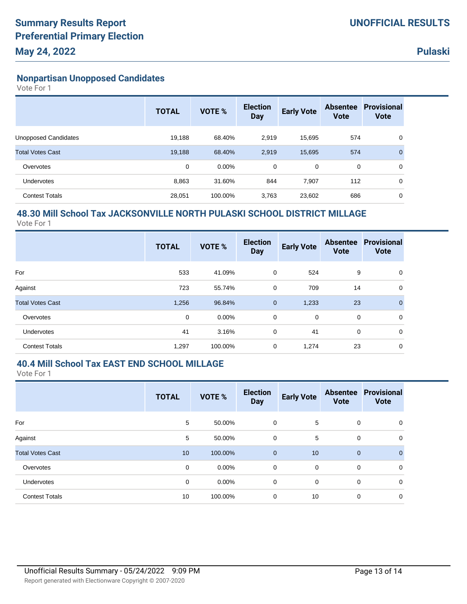### **Nonpartisan Unopposed Candidates**

Vote For 1

|                         | <b>TOTAL</b> | VOTE %   | <b>Election</b><br><b>Day</b> | <b>Early Vote</b> | <b>Absentee</b><br><b>Vote</b> | <b>Provisional</b><br><b>Vote</b> |
|-------------------------|--------------|----------|-------------------------------|-------------------|--------------------------------|-----------------------------------|
| Unopposed Candidates    | 19,188       | 68.40%   | 2,919                         | 15,695            | 574                            | 0                                 |
| <b>Total Votes Cast</b> | 19,188       | 68.40%   | 2,919                         | 15,695            | 574                            | $\overline{0}$                    |
| Overvotes               | 0            | $0.00\%$ | 0                             | 0                 | 0                              | 0                                 |
| Undervotes              | 8,863        | 31.60%   | 844                           | 7,907             | 112                            | 0                                 |
| <b>Contest Totals</b>   | 28,051       | 100.00%  | 3,763                         | 23,602            | 686                            | 0                                 |

## **48.30 Mill School Tax JACKSONVILLE NORTH PULASKI SCHOOL DISTRICT MILLAGE**

Vote For 1

|                         | <b>TOTAL</b> | <b>VOTE %</b> | <b>Election</b><br><b>Day</b> | <b>Early Vote</b> | <b>Vote</b> | <b>Absentee Provisional</b><br><b>Vote</b> |
|-------------------------|--------------|---------------|-------------------------------|-------------------|-------------|--------------------------------------------|
| For                     | 533          | 41.09%        | 0                             | 524               | 9           | 0                                          |
| Against                 | 723          | 55.74%        | $\mathbf 0$                   | 709               | 14          | 0                                          |
| <b>Total Votes Cast</b> | 1,256        | 96.84%        | $\mathbf{0}$                  | 1,233             | 23          | $\mathbf{0}$                               |
| Overvotes               | $\mathbf 0$  | $0.00\%$      | $\mathbf 0$                   | 0                 | 0           | 0                                          |
| Undervotes              | 41           | 3.16%         | $\mathbf 0$                   | 41                | 0           | 0                                          |
| <b>Contest Totals</b>   | 1,297        | 100.00%       | 0                             | 1,274             | 23          | 0                                          |

#### **40.4 Mill School Tax EAST END SCHOOL MILLAGE**

|                         | <b>TOTAL</b> | <b>VOTE %</b> | <b>Election</b><br><b>Day</b> | <b>Early Vote</b> | <b>Vote</b> | <b>Absentee Provisional</b><br><b>Vote</b> |
|-------------------------|--------------|---------------|-------------------------------|-------------------|-------------|--------------------------------------------|
| For                     | 5            | 50.00%        | 0                             | 5                 | 0           | 0                                          |
| Against                 | 5            | 50.00%        | 0                             | 5                 | $\mathbf 0$ | 0                                          |
| <b>Total Votes Cast</b> | 10           | 100.00%       | $\mathbf 0$                   | 10                | $\mathbf 0$ | $\mathbf 0$                                |
| Overvotes               | 0            | $0.00\%$      | 0                             | $\mathbf 0$       | $\mathbf 0$ | 0                                          |
| Undervotes              | 0            | 0.00%         | 0                             | 0                 | 0           | 0                                          |
| <b>Contest Totals</b>   | 10           | 100.00%       | 0                             | 10                | $\mathbf 0$ | 0                                          |